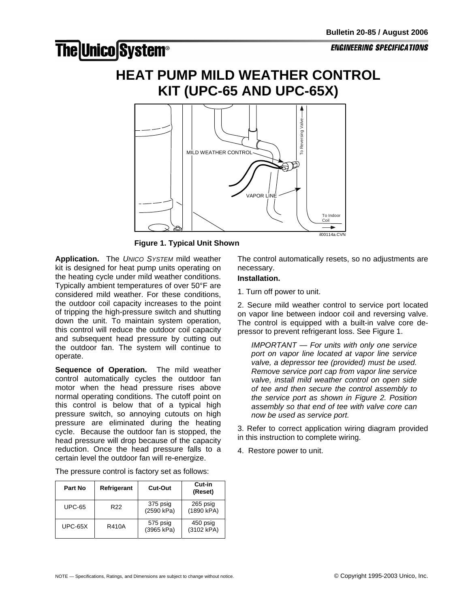## **The Unico System®**

## **HEAT PUMP MILD WEATHER CONTROL KIT (UPC-65 AND UPC-65X)**



**Figure 1. Typical Unit Shown** 

**Application.** The *UNICO SYSTEM* mild weather kit is designed for heat pump units operating on the heating cycle under mild weather conditions. Typically ambient temperatures of over 50°F are considered mild weather. For these conditions, the outdoor coil capacity increases to the point of tripping the high-pressure switch and shutting down the unit. To maintain system operation, this control will reduce the outdoor coil capacity and subsequent head pressure by cutting out the outdoor fan. The system will continue to operate.

**Sequence of Operation.** The mild weather control automatically cycles the outdoor fan motor when the head pressure rises above normal operating conditions. The cutoff point on this control is below that of a typical high pressure switch, so annoying cutouts on high pressure are eliminated during the heating cycle. Because the outdoor fan is stopped, the head pressure will drop because of the capacity reduction. Once the head pressure falls to a certain level the outdoor fan will re-energize.

The pressure control is factory set as follows:

| Part No       | Refrigerant     | Cut-Out                | Cut-in<br>(Reset)      |
|---------------|-----------------|------------------------|------------------------|
| <b>UPC-65</b> | R <sub>22</sub> | 375 psig<br>(2590 kPa) | 265 psig<br>(1890 kPA) |
| $UPC-65X$     | R410A           | 575 psig<br>(3965 kPa) | 450 psig<br>(3102 kPA) |

The control automatically resets, so no adjustments are necessary.

## **Installation.**

1. Turn off power to unit.

2. Secure mild weather control to service port located on vapor line between indoor coil and reversing valve. The control is equipped with a built-in valve core depressor to prevent refrigerant loss. See Figure 1.

*IMPORTANT — For units with only one service port on vapor line located at vapor line service valve, a depressor tee (provided) must be used. Remove service port cap from vapor line service valve, install mild weather control on open side of tee and then secure the control assembly to the service port as shown in Figure 2. Position assembly so that end of tee with valve core can now be used as service port.* 

3. Refer to correct application wiring diagram provided in this instruction to complete wiring.

4. Restore power to unit.